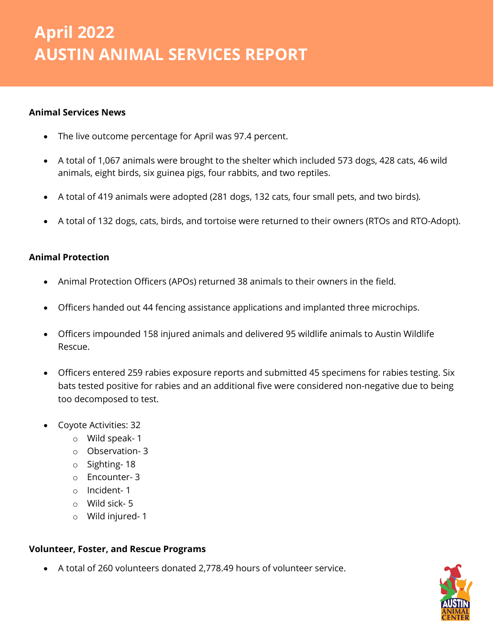# *April 2022 Animal Services Report* **April 2022 AUSTIN ANIMAL SERVICES REPORT**

## **Animal Services News**

- The live outcome percentage for April was 97.4 percent.
- A total of 1,067 animals were brought to the shelter which included 573 dogs, 428 cats, 46 wild animals, eight birds, six guinea pigs, four rabbits, and two reptiles.
- A total of 419 animals were adopted (281 dogs, 132 cats, four small pets, and two birds).
- A total of 132 dogs, cats, birds, and tortoise were returned to their owners (RTOs and RTO-Adopt).

### **Animal Protection**

- Animal Protection Officers (APOs) returned 38 animals to their owners in the field.
- Officers handed out 44 fencing assistance applications and implanted three microchips.
- Officers impounded 158 injured animals and delivered 95 wildlife animals to Austin Wildlife Rescue.
- Officers entered 259 rabies exposure reports and submitted 45 specimens for rabies testing. Six bats tested positive for rabies and an additional five were considered non-negative due to being too decomposed to test.
- Coyote Activities: 32
	- o Wild speak- 1
	- o Observation- 3
	- o Sighting- 18
	- o Encounter- 3
	- o Incident- 1
	- o Wild sick- 5
	- o Wild injured- 1

## **Volunteer, Foster, and Rescue Programs**

• A total of 260 volunteers donated 2,778.49 hours of volunteer service.

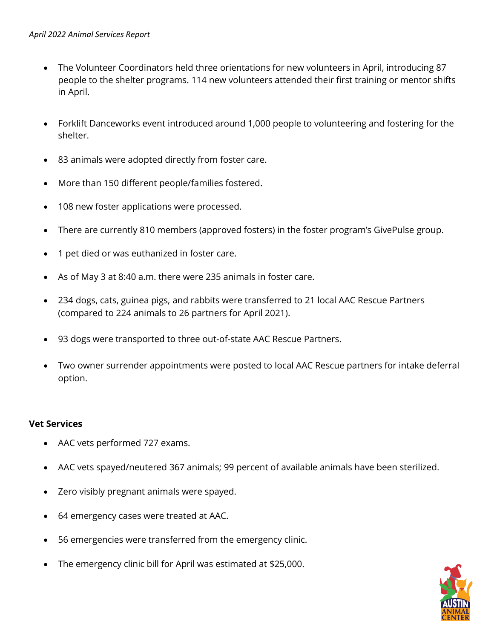- The Volunteer Coordinators held three orientations for new volunteers in April, introducing 87 people to the shelter programs. 114 new volunteers attended their first training or mentor shifts in April.
- Forklift Danceworks event introduced around 1,000 people to volunteering and fostering for the shelter.
- 83 animals were adopted directly from foster care.
- More than 150 different people/families fostered.
- 108 new foster applications were processed.
- There are currently 810 members (approved fosters) in the foster program's GivePulse group.
- 1 pet died or was euthanized in foster care.
- As of May 3 at 8:40 a.m. there were 235 animals in foster care.
- 234 dogs, cats, guinea pigs, and rabbits were transferred to 21 local AAC Rescue Partners (compared to 224 animals to 26 partners for April 2021).
- 93 dogs were transported to three out-of-state AAC Rescue Partners.
- Two owner surrender appointments were posted to local AAC Rescue partners for intake deferral option.

### **Vet Services**

- AAC vets performed 727 exams.
- AAC vets spayed/neutered 367 animals; 99 percent of available animals have been sterilized.
- Zero visibly pregnant animals were spayed.
- 64 emergency cases were treated at AAC.
- 56 emergencies were transferred from the emergency clinic.
- The emergency clinic bill for April was estimated at \$25,000.